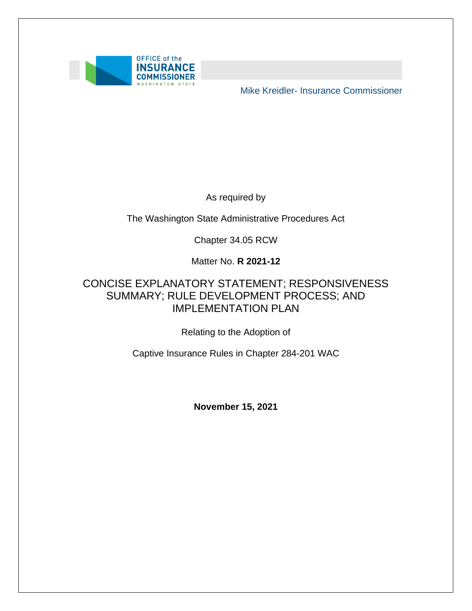

Mike Kreidler- Insurance Commissioner

As required by

The Washington State Administrative Procedures Act

Chapter 34.05 RCW

Matter No. **R 2021-12** 

#### SUMMARY; RULE DEVELOPMENT PROCESS; AND CONCISE EXPLANATORY STATEMENT; RESPONSIVENESS IMPLEMENTATION PLAN

Relating to the Adoption of

Captive Insurance Rules in Chapter 284-201 WAC

**November 15, 2021**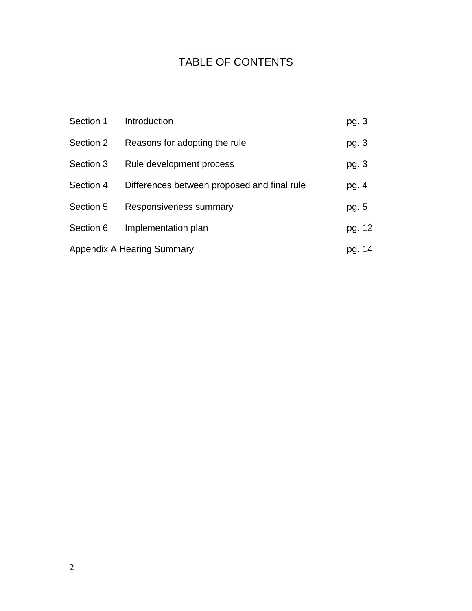## TABLE OF CONTENTS

| Section 1 | Introduction                                | pg. 3  |
|-----------|---------------------------------------------|--------|
| Section 2 | Reasons for adopting the rule               | pg. 3  |
| Section 3 | Rule development process                    | pg. 3  |
| Section 4 | Differences between proposed and final rule | pg. 4  |
| Section 5 | Responsiveness summary                      | pg. 5  |
| Section 6 | Implementation plan                         | pg. 12 |
|           | <b>Appendix A Hearing Summary</b>           | pg. 14 |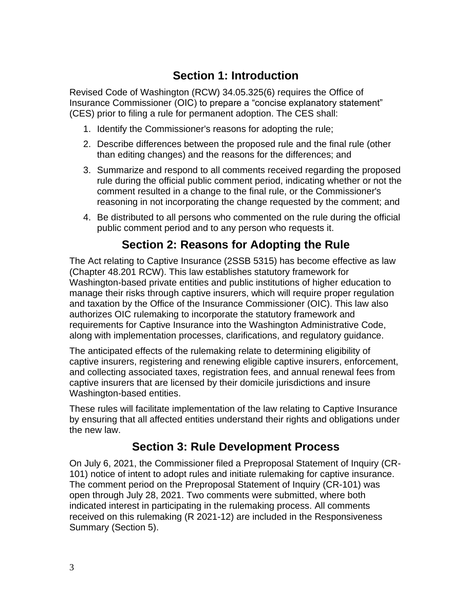### **Section 1: Introduction**

Revised Code of Washington (RCW) 34.05.325(6) requires the Office of Insurance Commissioner (OIC) to prepare a "concise explanatory statement" (CES) prior to filing a rule for permanent adoption. The CES shall:

- 1. Identify the Commissioner's reasons for adopting the rule;
- 2. Describe differences between the proposed rule and the final rule (other than editing changes) and the reasons for the differences; and
- 3. Summarize and respond to all comments received regarding the proposed rule during the official public comment period, indicating whether or not the comment resulted in a change to the final rule, or the Commissioner's reasoning in not incorporating the change requested by the comment; and
- 4. Be distributed to all persons who commented on the rule during the official public comment period and to any person who requests it.

### **Section 2: Reasons for Adopting the Rule**

 Washington-based private entities and public institutions of higher education to and taxation by the Office of the Insurance Commissioner (OIC). This law also authorizes OIC rulemaking to incorporate the statutory framework and The Act relating to Captive Insurance (2SSB 5315) has become effective as law (Chapter 48.201 RCW). This law establishes statutory framework for manage their risks through captive insurers, which will require proper regulation requirements for Captive Insurance into the Washington Administrative Code, along with implementation processes, clarifications, and regulatory guidance.

The anticipated effects of the rulemaking relate to determining eligibility of captive insurers, registering and renewing eligible captive insurers, enforcement, and collecting associated taxes, registration fees, and annual renewal fees from captive insurers that are licensed by their domicile jurisdictions and insure Washington-based entities.

These rules will facilitate implementation of the law relating to Captive Insurance by ensuring that all affected entities understand their rights and obligations under the new law.

#### **Section 3: Rule Development Process**

 101) notice of intent to adopt rules and initiate rulemaking for captive insurance. On July 6, 2021, the Commissioner filed a Preproposal Statement of Inquiry (CR-The comment period on the Preproposal Statement of Inquiry (CR-101) was open through July 28, 2021. Two comments were submitted, where both indicated interest in participating in the rulemaking process. All comments received on this rulemaking (R 2021-12) are included in the Responsiveness Summary (Section 5).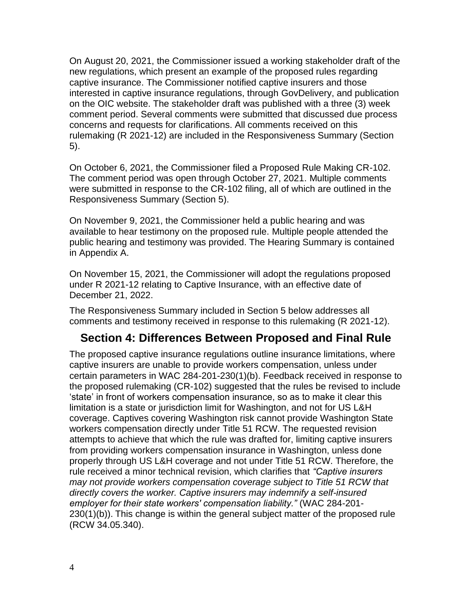captive insurance. The Commissioner notified captive insurers and those comment period. Several comments were submitted that discussed due process On August 20, 2021, the Commissioner issued a working stakeholder draft of the new regulations, which present an example of the proposed rules regarding interested in captive insurance regulations, through GovDelivery, and publication on the OIC website. The stakeholder draft was published with a three (3) week concerns and requests for clarifications. All comments received on this rulemaking (R 2021-12) are included in the Responsiveness Summary (Section 5).

 The comment period was open through October 27, 2021. Multiple comments On October 6, 2021, the Commissioner filed a Proposed Rule Making CR-102. were submitted in response to the CR-102 filing, all of which are outlined in the Responsiveness Summary (Section 5).

 available to hear testimony on the proposed rule. Multiple people attended the On November 9, 2021, the Commissioner held a public hearing and was public hearing and testimony was provided. The Hearing Summary is contained in Appendix A.

 under R 2021-12 relating to Captive Insurance, with an effective date of On November 15, 2021, the Commissioner will adopt the regulations proposed December 21, 2022.

 The Responsiveness Summary included in Section 5 below addresses all comments and testimony received in response to this rulemaking (R 2021-12).

#### **Section 4: Differences Between Proposed and Final Rule**

 workers compensation directly under Title 51 RCW. The requested revision The proposed captive insurance regulations outline insurance limitations, where captive insurers are unable to provide workers compensation, unless under certain parameters in WAC 284-201-230(1)(b). Feedback received in response to the proposed rulemaking (CR-102) suggested that the rules be revised to include 'state' in front of workers compensation insurance, so as to make it clear this limitation is a state or jurisdiction limit for Washington, and not for US L&H coverage. Captives covering Washington risk cannot provide Washington State attempts to achieve that which the rule was drafted for, limiting captive insurers from providing workers compensation insurance in Washington, unless done properly through US L&H coverage and not under Title 51 RCW. Therefore, the rule received a minor technical revision, which clarifies that *"Captive insurers may not provide workers compensation coverage subject to Title 51 RCW that directly covers the worker. Captive insurers may indemnify a self-insured employer for their state workers' compensation liability."* (WAC 284-201- 230(1)(b)). This change is within the general subject matter of the proposed rule (RCW 34.05.340).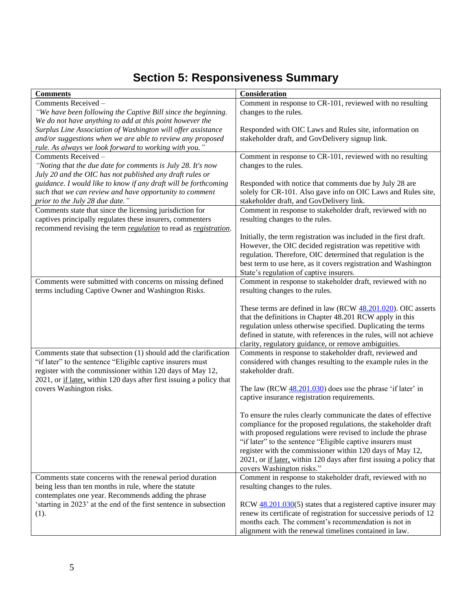# **Section 5: Responsiveness Summary**

| <b>Comments</b>                                                                | <b>Consideration</b>                                                 |
|--------------------------------------------------------------------------------|----------------------------------------------------------------------|
| Comments Received -                                                            | Comment in response to CR-101, reviewed with no resulting            |
| "We have been following the Captive Bill since the beginning.                  | changes to the rules.                                                |
| We do not have anything to add at this point however the                       |                                                                      |
| Surplus Line Association of Washington will offer assistance                   | Responded with OIC Laws and Rules site, information on               |
| and/or suggestions when we are able to review any proposed                     | stakeholder draft, and GovDelivery signup link.                      |
| rule. As always we look forward to working with you."                          |                                                                      |
| Comments Received-                                                             | Comment in response to CR-101, reviewed with no resulting            |
| "Noting that the due date for comments is July 28. It's now                    | changes to the rules.                                                |
| July 20 and the OIC has not published any draft rules or                       |                                                                      |
| guidance. I would like to know if any draft will be forthcoming                | Responded with notice that comments due by July 28 are               |
| such that we can review and have opportunity to comment                        | solely for CR-101. Also gave info on OIC Laws and Rules site,        |
| prior to the July 28 due date."                                                | stakeholder draft, and GovDelivery link.                             |
| Comments state that since the licensing jurisdiction for                       | Comment in response to stakeholder draft, reviewed with no           |
| captives principally regulates these insurers, commenters                      | resulting changes to the rules.                                      |
| recommend revising the term <i>regulation</i> to read as <i>registration</i> . |                                                                      |
|                                                                                | Initially, the term registration was included in the first draft.    |
|                                                                                | However, the OIC decided registration was repetitive with            |
|                                                                                | regulation. Therefore, OIC determined that regulation is the         |
|                                                                                | best term to use here, as it covers registration and Washington      |
|                                                                                | State's regulation of captive insurers.                              |
| Comments were submitted with concerns on missing defined                       | Comment in response to stakeholder draft, reviewed with no           |
| terms including Captive Owner and Washington Risks.                            | resulting changes to the rules.                                      |
|                                                                                |                                                                      |
|                                                                                | These terms are defined in law (RCW 48.201.020). OIC asserts         |
|                                                                                | that the definitions in Chapter 48.201 RCW apply in this             |
|                                                                                | regulation unless otherwise specified. Duplicating the terms         |
|                                                                                | defined in statute, with references in the rules, will not achieve   |
|                                                                                | clarity, regulatory guidance, or remove ambiguities.                 |
| Comments state that subsection (1) should add the clarification                | Comments in response to stakeholder draft, reviewed and              |
| "if later" to the sentence "Eligible captive insurers must                     | considered with changes resulting to the example rules in the        |
| register with the commissioner within 120 days of May 12,                      | stakeholder draft.                                                   |
| 2021, or if later, within 120 days after first issuing a policy that           |                                                                      |
| covers Washington risks.                                                       | The law (RCW $48.201.030$ ) does use the phrase 'if later' in        |
|                                                                                | captive insurance registration requirements.                         |
|                                                                                |                                                                      |
|                                                                                | To ensure the rules clearly communicate the dates of effective       |
|                                                                                | compliance for the proposed regulations, the stakeholder draft       |
|                                                                                | with proposed regulations were revised to include the phrase         |
|                                                                                | "if later" to the sentence "Eligible captive insurers must           |
|                                                                                | register with the commissioner within 120 days of May 12,            |
|                                                                                | 2021, or if later, within 120 days after first issuing a policy that |
|                                                                                | covers Washington risks."                                            |
| Comments state concerns with the renewal period duration                       | Comment in response to stakeholder draft, reviewed with no           |
| being less than ten months in rule, where the statute                          | resulting changes to the rules.                                      |
| contemplates one year. Recommends adding the phrase                            |                                                                      |
| 'starting in 2023' at the end of the first sentence in subsection              | RCW $48.201.030(5)$ states that a registered captive insurer may     |
| (1).                                                                           | renew its certificate of registration for successive periods of 12   |
|                                                                                | months each. The comment's recommendation is not in                  |
|                                                                                | alignment with the renewal timelines contained in law.               |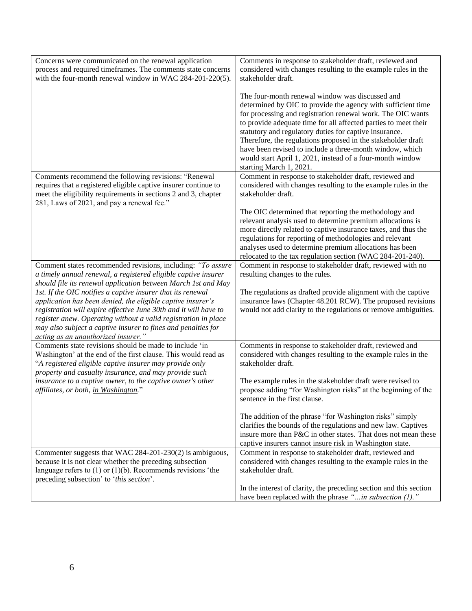| Concerns were communicated on the renewal application<br>process and required timeframes. The comments state concerns<br>with the four-month renewal window in WAC 284-201-220(5).                                                                                                                                                                                                                                                                                                                                                                                         | Comments in response to stakeholder draft, reviewed and<br>considered with changes resulting to the example rules in the<br>stakeholder draft.                                                                                                                                                                                                                                                                                                                                                                                  |
|----------------------------------------------------------------------------------------------------------------------------------------------------------------------------------------------------------------------------------------------------------------------------------------------------------------------------------------------------------------------------------------------------------------------------------------------------------------------------------------------------------------------------------------------------------------------------|---------------------------------------------------------------------------------------------------------------------------------------------------------------------------------------------------------------------------------------------------------------------------------------------------------------------------------------------------------------------------------------------------------------------------------------------------------------------------------------------------------------------------------|
|                                                                                                                                                                                                                                                                                                                                                                                                                                                                                                                                                                            | The four-month renewal window was discussed and<br>determined by OIC to provide the agency with sufficient time<br>for processing and registration renewal work. The OIC wants<br>to provide adequate time for all affected parties to meet their<br>statutory and regulatory duties for captive insurance.<br>Therefore, the regulations proposed in the stakeholder draft<br>have been revised to include a three-month window, which<br>would start April 1, 2021, instead of a four-month window<br>starting March 1, 2021. |
| Comments recommend the following revisions: "Renewal<br>requires that a registered eligible captive insurer continue to<br>meet the eligibility requirements in sections 2 and 3, chapter<br>281, Laws of 2021, and pay a renewal fee."                                                                                                                                                                                                                                                                                                                                    | Comment in response to stakeholder draft, reviewed and<br>considered with changes resulting to the example rules in the<br>stakeholder draft.                                                                                                                                                                                                                                                                                                                                                                                   |
|                                                                                                                                                                                                                                                                                                                                                                                                                                                                                                                                                                            | The OIC determined that reporting the methodology and<br>relevant analysis used to determine premium allocations is<br>more directly related to captive insurance taxes, and thus the<br>regulations for reporting of methodologies and relevant<br>analyses used to determine premium allocations has been<br>relocated to the tax regulation section (WAC 284-201-240).                                                                                                                                                       |
| Comment states recommended revisions, including: "To assure<br>a timely annual renewal, a registered eligible captive insurer<br>should file its renewal application between March 1st and May<br>1st. If the OIC notifies a captive insurer that its renewal<br>application has been denied, the eligible captive insurer's<br>registration will expire effective June 30th and it will have to<br>register anew. Operating without a valid registration in place<br>may also subject a captive insurer to fines and penalties for<br>acting as an unauthorized insurer." | Comment in response to stakeholder draft, reviewed with no<br>resulting changes to the rules.<br>The regulations as drafted provide alignment with the captive<br>insurance laws (Chapter 48.201 RCW). The proposed revisions<br>would not add clarity to the regulations or remove ambiguities.                                                                                                                                                                                                                                |
| Comments state revisions should be made to include 'in<br>Washington' at the end of the first clause. This would read as<br>"A registered eligible captive insurer may provide only<br>property and casualty insurance, and may provide such<br>insurance to a captive owner, to the captive owner's other<br>affiliates, or both, in Washington."                                                                                                                                                                                                                         | Comments in response to stakeholder draft, reviewed and<br>considered with changes resulting to the example rules in the<br>stakeholder draft.<br>The example rules in the stakeholder draft were revised to<br>propose adding "for Washington risks" at the beginning of the<br>sentence in the first clause.                                                                                                                                                                                                                  |
|                                                                                                                                                                                                                                                                                                                                                                                                                                                                                                                                                                            | The addition of the phrase "for Washington risks" simply<br>clarifies the bounds of the regulations and new law. Captives<br>insure more than P&C in other states. That does not mean these<br>captive insurers cannot insure risk in Washington state.                                                                                                                                                                                                                                                                         |
| Commenter suggests that WAC 284-201-230(2) is ambiguous,<br>because it is not clear whether the preceding subsection<br>language refers to $(1)$ or $(1)(b)$ . Recommends revisions 'the<br>preceding subsection' to 'this section'.                                                                                                                                                                                                                                                                                                                                       | Comment in response to stakeholder draft, reviewed and<br>considered with changes resulting to the example rules in the<br>stakeholder draft.<br>In the interest of clarity, the preceding section and this section                                                                                                                                                                                                                                                                                                             |
|                                                                                                                                                                                                                                                                                                                                                                                                                                                                                                                                                                            | have been replaced with the phrase " in subsection $(1)$ ."                                                                                                                                                                                                                                                                                                                                                                                                                                                                     |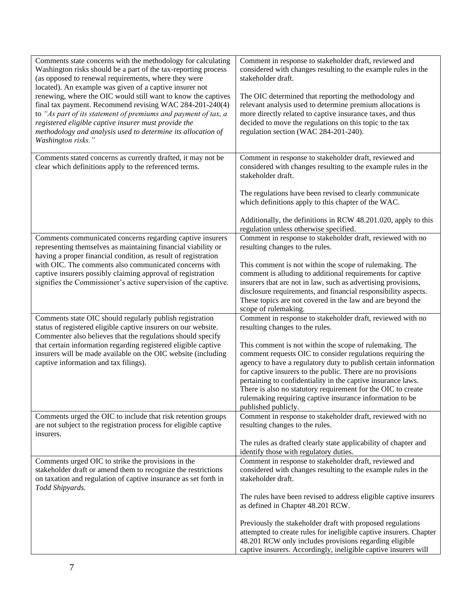| Comments state concerns with the methodology for calculating<br>Washington risks should be a part of the tax-reporting process<br>(as opposed to renewal requirements, where they were<br>located). An example was given of a captive insurer not<br>renewing, where the OIC would still want to know the captives<br>final tax payment. Recommend revising WAC 284-201-240(4)<br>to "As part of its statement of premiums and payment of tax, a<br>registered eligible captive insurer must provide the<br>methodology and analysis used to determine its allocation of<br>Washington risks." | Comment in response to stakeholder draft, reviewed and<br>considered with changes resulting to the example rules in the<br>stakeholder draft.<br>The OIC determined that reporting the methodology and<br>relevant analysis used to determine premium allocations is<br>more directly related to captive insurance taxes, and thus<br>decided to move the regulations on this topic to the tax<br>regulation section (WAC 284-201-240). |
|------------------------------------------------------------------------------------------------------------------------------------------------------------------------------------------------------------------------------------------------------------------------------------------------------------------------------------------------------------------------------------------------------------------------------------------------------------------------------------------------------------------------------------------------------------------------------------------------|-----------------------------------------------------------------------------------------------------------------------------------------------------------------------------------------------------------------------------------------------------------------------------------------------------------------------------------------------------------------------------------------------------------------------------------------|
| Comments stated concerns as currently drafted, it may not be<br>clear which definitions apply to the referenced terms.                                                                                                                                                                                                                                                                                                                                                                                                                                                                         | Comment in response to stakeholder draft, reviewed and<br>considered with changes resulting to the example rules in the<br>stakeholder draft.                                                                                                                                                                                                                                                                                           |
|                                                                                                                                                                                                                                                                                                                                                                                                                                                                                                                                                                                                | The regulations have been revised to clearly communicate<br>which definitions apply to this chapter of the WAC.                                                                                                                                                                                                                                                                                                                         |
|                                                                                                                                                                                                                                                                                                                                                                                                                                                                                                                                                                                                | Additionally, the definitions in RCW 48.201.020, apply to this<br>regulation unless otherwise specified.                                                                                                                                                                                                                                                                                                                                |
| Comments communicated concerns regarding captive insurers<br>representing themselves as maintaining financial viability or<br>having a proper financial condition, as result of registration                                                                                                                                                                                                                                                                                                                                                                                                   | Comment in response to stakeholder draft, reviewed with no<br>resulting changes to the rules.                                                                                                                                                                                                                                                                                                                                           |
| with OIC. The comments also communicated concerns with<br>captive insurers possibly claiming approval of registration                                                                                                                                                                                                                                                                                                                                                                                                                                                                          | This comment is not within the scope of rulemaking. The<br>comment is alluding to additional requirements for captive                                                                                                                                                                                                                                                                                                                   |
| signifies the Commissioner's active supervision of the captive.                                                                                                                                                                                                                                                                                                                                                                                                                                                                                                                                | insurers that are not in law, such as advertising provisions,<br>disclosure requirements, and financial responsibility aspects.                                                                                                                                                                                                                                                                                                         |
|                                                                                                                                                                                                                                                                                                                                                                                                                                                                                                                                                                                                | These topics are not covered in the law and are beyond the<br>scope of rulemaking.                                                                                                                                                                                                                                                                                                                                                      |
| Comments state OIC should regularly publish registration<br>status of registered eligible captive insurers on our website.<br>Commenter also believes that the regulations should specify                                                                                                                                                                                                                                                                                                                                                                                                      | Comment in response to stakeholder draft, reviewed with no<br>resulting changes to the rules.                                                                                                                                                                                                                                                                                                                                           |
| that certain information regarding registered eligible captive<br>insurers will be made available on the OIC website (including                                                                                                                                                                                                                                                                                                                                                                                                                                                                | This comment is not within the scope of rulemaking. The<br>comment requests OIC to consider regulations requiring the                                                                                                                                                                                                                                                                                                                   |
| captive information and tax filings).                                                                                                                                                                                                                                                                                                                                                                                                                                                                                                                                                          | agency to have a regulatory duty to publish certain information                                                                                                                                                                                                                                                                                                                                                                         |
|                                                                                                                                                                                                                                                                                                                                                                                                                                                                                                                                                                                                | for captive insurers to the public. There are no provisions<br>pertaining to confidentiality in the captive insurance laws.                                                                                                                                                                                                                                                                                                             |
|                                                                                                                                                                                                                                                                                                                                                                                                                                                                                                                                                                                                | There is also no statutory requirement for the OIC to create<br>rulemaking requiring captive insurance information to be                                                                                                                                                                                                                                                                                                                |
|                                                                                                                                                                                                                                                                                                                                                                                                                                                                                                                                                                                                | published publicly.                                                                                                                                                                                                                                                                                                                                                                                                                     |
| Comments urged the OIC to include that risk retention groups<br>are not subject to the registration process for eligible captive<br>insurers.                                                                                                                                                                                                                                                                                                                                                                                                                                                  | Comment in response to stakeholder draft, reviewed with no<br>resulting changes to the rules.                                                                                                                                                                                                                                                                                                                                           |
|                                                                                                                                                                                                                                                                                                                                                                                                                                                                                                                                                                                                | The rules as drafted clearly state applicability of chapter and<br>identify those with regulatory duties.                                                                                                                                                                                                                                                                                                                               |
| Comments urged OIC to strike the provisions in the                                                                                                                                                                                                                                                                                                                                                                                                                                                                                                                                             | Comment in response to stakeholder draft, reviewed and                                                                                                                                                                                                                                                                                                                                                                                  |
| stakeholder draft or amend them to recognize the restrictions<br>on taxation and regulation of captive insurance as set forth in                                                                                                                                                                                                                                                                                                                                                                                                                                                               | considered with changes resulting to the example rules in the<br>stakeholder draft.                                                                                                                                                                                                                                                                                                                                                     |
| Todd Shipyards.                                                                                                                                                                                                                                                                                                                                                                                                                                                                                                                                                                                | The rules have been revised to address eligible captive insurers                                                                                                                                                                                                                                                                                                                                                                        |
|                                                                                                                                                                                                                                                                                                                                                                                                                                                                                                                                                                                                | as defined in Chapter 48.201 RCW.                                                                                                                                                                                                                                                                                                                                                                                                       |
|                                                                                                                                                                                                                                                                                                                                                                                                                                                                                                                                                                                                | Previously the stakeholder draft with proposed regulations                                                                                                                                                                                                                                                                                                                                                                              |
|                                                                                                                                                                                                                                                                                                                                                                                                                                                                                                                                                                                                | attempted to create rules for ineligible captive insurers. Chapter<br>48.201 RCW only includes provisions regarding eligible                                                                                                                                                                                                                                                                                                            |
|                                                                                                                                                                                                                                                                                                                                                                                                                                                                                                                                                                                                | captive insurers. Accordingly, ineligible captive insurers will                                                                                                                                                                                                                                                                                                                                                                         |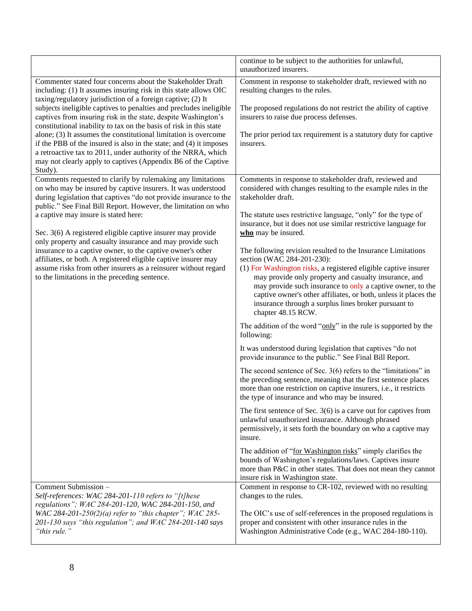|                                                                                                                                                                                                                                                                                                                                                                                                                                                                                                                                                                                                                                                                                                   | continue to be subject to the authorities for unlawful,<br>unauthorized insurers.                                                                                                                                                                                                                                                                                                                                                                                                                                                                                                                                                                                                                                                                                                                                                                                                                                                                                                                                                                                                                                                                                                                                                                                                                                                                                                                                                                                                                                                                                                                                                                                               |
|---------------------------------------------------------------------------------------------------------------------------------------------------------------------------------------------------------------------------------------------------------------------------------------------------------------------------------------------------------------------------------------------------------------------------------------------------------------------------------------------------------------------------------------------------------------------------------------------------------------------------------------------------------------------------------------------------|---------------------------------------------------------------------------------------------------------------------------------------------------------------------------------------------------------------------------------------------------------------------------------------------------------------------------------------------------------------------------------------------------------------------------------------------------------------------------------------------------------------------------------------------------------------------------------------------------------------------------------------------------------------------------------------------------------------------------------------------------------------------------------------------------------------------------------------------------------------------------------------------------------------------------------------------------------------------------------------------------------------------------------------------------------------------------------------------------------------------------------------------------------------------------------------------------------------------------------------------------------------------------------------------------------------------------------------------------------------------------------------------------------------------------------------------------------------------------------------------------------------------------------------------------------------------------------------------------------------------------------------------------------------------------------|
| Commenter stated four concerns about the Stakeholder Draft<br>including: (1) It assumes insuring risk in this state allows OIC<br>taxing/regulatory jurisdiction of a foreign captive; (2) It<br>subjects ineligible captives to penalties and precludes ineligible<br>captives from insuring risk in the state, despite Washington's<br>constitutional inability to tax on the basis of risk in this state<br>alone; (3) It assumes the constitutional limitation is overcome<br>if the PBB of the insured is also in the state; and (4) it imposes<br>a retroactive tax to 2011, under authority of the NRRA, which<br>may not clearly apply to captives (Appendix B6 of the Captive<br>Study). | Comment in response to stakeholder draft, reviewed with no<br>resulting changes to the rules.<br>The proposed regulations do not restrict the ability of captive<br>insurers to raise due process defenses.<br>The prior period tax requirement is a statutory duty for captive<br>insurers.                                                                                                                                                                                                                                                                                                                                                                                                                                                                                                                                                                                                                                                                                                                                                                                                                                                                                                                                                                                                                                                                                                                                                                                                                                                                                                                                                                                    |
| Comments requested to clarify by rulemaking any limitations<br>on who may be insured by captive insurers. It was understood<br>during legislation that captives "do not provide insurance to the<br>public." See Final Bill Report. However, the limitation on who<br>a captive may insure is stated here:<br>Sec. 3(6) A registered eligible captive insurer may provide<br>only property and casualty insurance and may provide such<br>insurance to a captive owner, to the captive owner's other<br>affiliates, or both. A registered eligible captive insurer may<br>assume risks from other insurers as a reinsurer without regard<br>to the limitations in the preceding sentence.         | Comments in response to stakeholder draft, reviewed and<br>considered with changes resulting to the example rules in the<br>stakeholder draft.<br>The statute uses restrictive language, "only" for the type of<br>insurance, but it does not use similar restrictive language for<br>who may be insured.<br>The following revision resulted to the Insurance Limitations<br>section (WAC 284-201-230):<br>(1) For Washington risks, a registered eligible captive insurer<br>may provide only property and casualty insurance, and<br>may provide such insurance to only a captive owner, to the<br>captive owner's other affiliates, or both, unless it places the<br>insurance through a surplus lines broker pursuant to<br>chapter 48.15 RCW.<br>The addition of the word " $\frac{only}{n}$ " in the rule is supported by the<br>following:<br>It was understood during legislation that captives "do not<br>provide insurance to the public." See Final Bill Report.<br>The second sentence of Sec. $3(6)$ refers to the "limitations" in<br>the preceding sentence, meaning that the first sentence places<br>more than one restriction on captive insurers, i.e., it restricts<br>the type of insurance and who may be insured.<br>The first sentence of Sec. $3(6)$ is a carve out for captives from<br>unlawful unauthorized insurance. Although phrased<br>permissively, it sets forth the boundary on who a captive may<br>insure.<br>The addition of "for Washington risks" simply clarifies the<br>bounds of Washington's regulations/laws. Captives insure<br>more than P&C in other states. That does not mean they cannot<br>insure risk in Washington state. |
| Comment Submission -<br>Self-references: WAC 284-201-110 refers to "[t]hese<br>regulations"; WAC 284-201-120, WAC 284-201-150, and<br>WAC 284-201-250(2)(a) refer to "this chapter"; WAC 285-<br>201-130 says "this regulation"; and WAC 284-201-140 says<br>"this rule."                                                                                                                                                                                                                                                                                                                                                                                                                         | Comment in response to CR-102, reviewed with no resulting<br>changes to the rules.<br>The OIC's use of self-references in the proposed regulations is<br>proper and consistent with other insurance rules in the<br>Washington Administrative Code (e.g., WAC 284-180-110).                                                                                                                                                                                                                                                                                                                                                                                                                                                                                                                                                                                                                                                                                                                                                                                                                                                                                                                                                                                                                                                                                                                                                                                                                                                                                                                                                                                                     |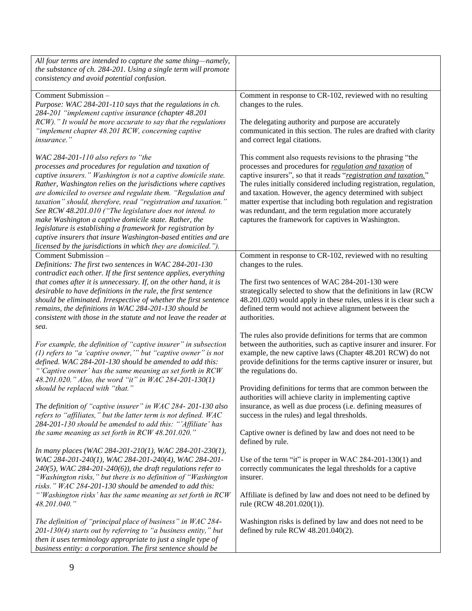| All four terms are intended to capture the same thing-namely,<br>the substance of ch. 284-201. Using a single term will promote<br>consistency and avoid potential confusion.                                                                                                                                                                                                                                                                                                                                                                                                                                                                                                             |                                                                                                                                                                                                                                                                                                                                                                                                                                                                                                                 |
|-------------------------------------------------------------------------------------------------------------------------------------------------------------------------------------------------------------------------------------------------------------------------------------------------------------------------------------------------------------------------------------------------------------------------------------------------------------------------------------------------------------------------------------------------------------------------------------------------------------------------------------------------------------------------------------------|-----------------------------------------------------------------------------------------------------------------------------------------------------------------------------------------------------------------------------------------------------------------------------------------------------------------------------------------------------------------------------------------------------------------------------------------------------------------------------------------------------------------|
| Comment Submission -<br>Purpose: WAC 284-201-110 says that the regulations in ch.<br>284-201 "implement captive insurance (chapter 48.201<br>RCW)." It would be more accurate to say that the regulations                                                                                                                                                                                                                                                                                                                                                                                                                                                                                 | Comment in response to CR-102, reviewed with no resulting<br>changes to the rules.<br>The delegating authority and purpose are accurately                                                                                                                                                                                                                                                                                                                                                                       |
| "implement chapter 48.201 RCW, concerning captive<br><i>insurance.</i> "                                                                                                                                                                                                                                                                                                                                                                                                                                                                                                                                                                                                                  | communicated in this section. The rules are drafted with clarity<br>and correct legal citations.                                                                                                                                                                                                                                                                                                                                                                                                                |
| WAC 284-201-110 also refers to "the<br>processes and procedures for regulation and taxation of<br>captive insurers." Washington is not a captive domicile state.<br>Rather, Washington relies on the jurisdictions where captives<br>are domiciled to oversee and regulate them. "Regulation and<br>taxation" should, therefore, read "registration and taxation."<br>See RCW 48.201.010 ("The legislature does not intend. to<br>make Washington a captive domicile state. Rather, the<br>legislature is establishing a framework for registration by<br>captive insurers that insure Washington-based entities and are<br>licensed by the jurisdictions in which they are domiciled."). | This comment also requests revisions to the phrasing "the<br>processes and procedures for regulation and taxation of<br>captive insurers", so that it reads "registration and taxation."<br>The rules initially considered including registration, regulation,<br>and taxation. However, the agency determined with subject<br>matter expertise that including both regulation and registration<br>was redundant, and the term regulation more accurately<br>captures the framework for captives in Washington. |
| Comment Submission -<br>Definitions: The first two sentences in WAC 284-201-130                                                                                                                                                                                                                                                                                                                                                                                                                                                                                                                                                                                                           | Comment in response to CR-102, reviewed with no resulting<br>changes to the rules.                                                                                                                                                                                                                                                                                                                                                                                                                              |
| contradict each other. If the first sentence applies, everything<br>that comes after it is unnecessary. If, on the other hand, it is<br>desirable to have definitions in the rule, the first sentence<br>should be eliminated. Irrespective of whether the first sentence<br>remains, the definitions in WAC 284-201-130 should be<br>consistent with those in the statute and not leave the reader at<br>sea.                                                                                                                                                                                                                                                                            | The first two sentences of WAC 284-201-130 were<br>strategically selected to show that the definitions in law (RCW<br>48.201.020) would apply in these rules, unless it is clear such a<br>defined term would not achieve alignment between the<br>authorities.                                                                                                                                                                                                                                                 |
| For example, the definition of "captive insurer" in subsection<br>(1) refers to "a 'captive owner," but "captive owner" is not<br>defined. WAC 284-201-130 should be amended to add this:<br>"'Captive owner' has the same meaning as set forth in RCW<br>48.201.020." Also, the word "it" in WAC 284-201-130(1)                                                                                                                                                                                                                                                                                                                                                                          | The rules also provide definitions for terms that are common<br>between the authorities, such as captive insurer and insurer. For<br>example, the new captive laws (Chapter 48.201 RCW) do not<br>provide definitions for the terms captive insurer or insurer, but<br>the regulations do.                                                                                                                                                                                                                      |
| should be replaced with "that."<br>The definition of "captive insurer" in WAC 284-201-130 also<br>refers to "affiliates," but the latter term is not defined. WAC                                                                                                                                                                                                                                                                                                                                                                                                                                                                                                                         | Providing definitions for terms that are common between the<br>authorities will achieve clarity in implementing captive<br>insurance, as well as due process (i.e. defining measures of<br>success in the rules) and legal thresholds.                                                                                                                                                                                                                                                                          |
| 284-201-130 should be amended to add this: "'Affiliate' has<br>the same meaning as set forth in RCW 48.201.020."                                                                                                                                                                                                                                                                                                                                                                                                                                                                                                                                                                          | Captive owner is defined by law and does not need to be<br>defined by rule.                                                                                                                                                                                                                                                                                                                                                                                                                                     |
| In many places (WAC 284-201-210(1), WAC 284-201-230(1),<br>WAC 284-201-240(1), WAC 284-201-240(4), WAC 284-201-<br>$240(5)$ , WAC 284-201-240(6)), the draft regulations refer to<br>"Washington risks," but there is no definition of "Washington<br>risks." WAC 284-201-130 should be amended to add this:                                                                                                                                                                                                                                                                                                                                                                              | Use of the term "it" is proper in WAC 284-201-130(1) and<br>correctly communicates the legal thresholds for a captive<br>insurer.                                                                                                                                                                                                                                                                                                                                                                               |
| "'Washington risks' has the same meaning as set forth in RCW<br>48.201.040."                                                                                                                                                                                                                                                                                                                                                                                                                                                                                                                                                                                                              | Affiliate is defined by law and does not need to be defined by<br>rule (RCW 48.201.020(1)).                                                                                                                                                                                                                                                                                                                                                                                                                     |
| The definition of "principal place of business" in WAC 284-<br>201-130(4) starts out by referring to "a business entity," but<br>then it uses terminology appropriate to just a single type of<br>business entity: a corporation. The first sentence should be                                                                                                                                                                                                                                                                                                                                                                                                                            | Washington risks is defined by law and does not need to be<br>defined by rule RCW 48.201.040(2).                                                                                                                                                                                                                                                                                                                                                                                                                |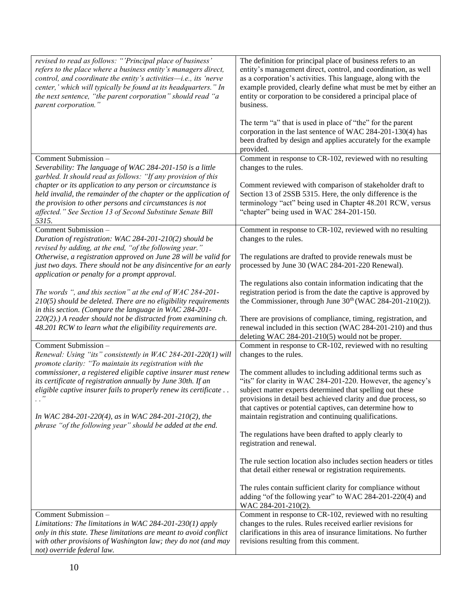| revised to read as follows: "'Principal place of business'<br>refers to the place where a business entity's managers direct,<br>control, and coordinate the entity's activities-i.e., its 'nerve<br>center,' which will typically be found at its headquarters." In<br>the next sentence, "the parent corporation" should read "a<br>parent corporation." | The definition for principal place of business refers to an<br>entity's management direct, control, and coordination, as well<br>as a corporation's activities. This language, along with the<br>example provided, clearly define what must be met by either an<br>entity or corporation to be considered a principal place of<br>business.<br>The term "a" that is used in place of "the" for the parent |
|-----------------------------------------------------------------------------------------------------------------------------------------------------------------------------------------------------------------------------------------------------------------------------------------------------------------------------------------------------------|-----------------------------------------------------------------------------------------------------------------------------------------------------------------------------------------------------------------------------------------------------------------------------------------------------------------------------------------------------------------------------------------------------------|
|                                                                                                                                                                                                                                                                                                                                                           | corporation in the last sentence of WAC 284-201-130(4) has<br>been drafted by design and applies accurately for the example<br>provided.                                                                                                                                                                                                                                                                  |
| Comment Submission -<br>Severability: The language of WAC 284-201-150 is a little<br>garbled. It should read as follows: "If any provision of this                                                                                                                                                                                                        | Comment in response to CR-102, reviewed with no resulting<br>changes to the rules.                                                                                                                                                                                                                                                                                                                        |
| chapter or its application to any person or circumstance is<br>held invalid, the remainder of the chapter or the application of<br>the provision to other persons and circumstances is not<br>affected." See Section 13 of Second Substitute Senate Bill<br>5315.                                                                                         | Comment reviewed with comparison of stakeholder draft to<br>Section 13 of 2SSB 5315. Here, the only difference is the<br>terminology "act" being used in Chapter 48.201 RCW, versus<br>"chapter" being used in WAC 284-201-150.                                                                                                                                                                           |
| Comment Submission -<br>Duration of registration: WAC 284-201-210(2) should be<br>revised by adding, at the end, "of the following year."                                                                                                                                                                                                                 | Comment in response to CR-102, reviewed with no resulting<br>changes to the rules.                                                                                                                                                                                                                                                                                                                        |
| Otherwise, a registration approved on June 28 will be valid for<br>just two days. There should not be any disincentive for an early<br>application or penalty for a prompt approval.                                                                                                                                                                      | The regulations are drafted to provide renewals must be<br>processed by June 30 (WAC 284-201-220 Renewal).                                                                                                                                                                                                                                                                                                |
| The words ", and this section" at the end of $WAC 284-201$ -<br>210(5) should be deleted. There are no eligibility requirements<br>in this section. (Compare the language in WAC 284-201-                                                                                                                                                                 | The regulations also contain information indicating that the<br>registration period is from the date the captive is approved by<br>the Commissioner, through June $30th$ (WAC 284-201-210(2)).                                                                                                                                                                                                            |
| 220(2).) A reader should not be distracted from examining ch.<br>48.201 RCW to learn what the eligibility requirements are.                                                                                                                                                                                                                               | There are provisions of compliance, timing, registration, and<br>renewal included in this section (WAC 284-201-210) and thus<br>deleting WAC 284-201-210(5) would not be proper.                                                                                                                                                                                                                          |
| Comment Submission -<br>Renewal: Using "its" consistently in WAC 284-201-220(1) will<br>promote clarity: "To maintain its registration with the                                                                                                                                                                                                           | Comment in response to CR-102, reviewed with no resulting<br>changes to the rules.                                                                                                                                                                                                                                                                                                                        |
| commissioner, a registered eligible captive insurer must renew<br>its certificate of registration annually by June 30th. If an<br>eligible captive insurer fails to properly renew its certificate                                                                                                                                                        | The comment alludes to including additional terms such as<br>"its" for clarity in WAC 284-201-220. However, the agency's<br>subject matter experts determined that spelling out these<br>provisions in detail best achieved clarity and due process, so<br>that captives or potential captives, can determine how to                                                                                      |
| In WAC 284-201-220(4), as in WAC 284-201-210(2), the<br>phrase "of the following year" should be added at the end.                                                                                                                                                                                                                                        | maintain registration and continuing qualifications.<br>The regulations have been drafted to apply clearly to<br>registration and renewal.                                                                                                                                                                                                                                                                |
|                                                                                                                                                                                                                                                                                                                                                           | The rule section location also includes section headers or titles<br>that detail either renewal or registration requirements.                                                                                                                                                                                                                                                                             |
|                                                                                                                                                                                                                                                                                                                                                           | The rules contain sufficient clarity for compliance without<br>adding "of the following year" to WAC 284-201-220(4) and<br>WAC 284-201-210(2).                                                                                                                                                                                                                                                            |
| Comment Submission -<br>Limitations: The limitations in WAC 284-201-230(1) apply<br>only in this state. These limitations are meant to avoid conflict<br>with other provisions of Washington law; they do not (and may<br>not) override federal law.                                                                                                      | Comment in response to CR-102, reviewed with no resulting<br>changes to the rules. Rules received earlier revisions for<br>clarifications in this area of insurance limitations. No further<br>revisions resulting from this comment.                                                                                                                                                                     |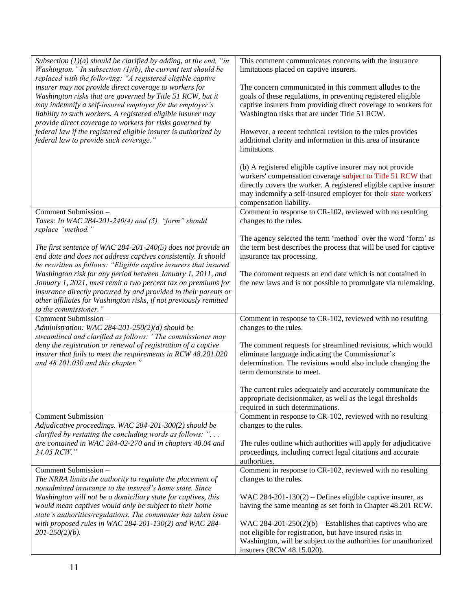| Subsection $(1)(a)$ should be clarified by adding, at the end, "in<br>Washington." In subsection $(1)(b)$ , the current text should be<br>replaced with the following: "A registered eligible captive<br>insurer may not provide direct coverage to workers for<br>Washington risks that are governed by Title 51 RCW, but it<br>may indemnify a self-insured employer for the employer's<br>liability to such workers. A registered eligible insurer may<br>provide direct coverage to workers for risks governed by<br>federal law if the registered eligible insurer is authorized by<br>federal law to provide such coverage." | This comment communicates concerns with the insurance<br>limitations placed on captive insurers.<br>The concern communicated in this comment alludes to the<br>goals of these regulations, in preventing registered eligible<br>captive insurers from providing direct coverage to workers for<br>Washington risks that are under Title 51 RCW.<br>However, a recent technical revision to the rules provides<br>additional clarity and information in this area of insurance<br>limitations. |
|------------------------------------------------------------------------------------------------------------------------------------------------------------------------------------------------------------------------------------------------------------------------------------------------------------------------------------------------------------------------------------------------------------------------------------------------------------------------------------------------------------------------------------------------------------------------------------------------------------------------------------|-----------------------------------------------------------------------------------------------------------------------------------------------------------------------------------------------------------------------------------------------------------------------------------------------------------------------------------------------------------------------------------------------------------------------------------------------------------------------------------------------|
|                                                                                                                                                                                                                                                                                                                                                                                                                                                                                                                                                                                                                                    | (b) A registered eligible captive insurer may not provide<br>workers' compensation coverage subject to Title 51 RCW that<br>directly covers the worker. A registered eligible captive insurer<br>may indemnify a self-insured employer for their state workers'<br>compensation liability.                                                                                                                                                                                                    |
| Comment Submission -<br>Taxes: In WAC 284-201-240(4) and (5), "form" should<br>replace "method."                                                                                                                                                                                                                                                                                                                                                                                                                                                                                                                                   | Comment in response to CR-102, reviewed with no resulting<br>changes to the rules.                                                                                                                                                                                                                                                                                                                                                                                                            |
| The first sentence of WAC 284-201-240(5) does not provide an<br>end date and does not address captives consistently. It should<br>be rewritten as follows: "Eligible captive insurers that insured<br>Washington risk for any period between January 1, 2011, and<br>January 1, 2021, must remit a two percent tax on premiums for<br>insurance directly procured by and provided to their parents or<br>other affiliates for Washington risks, if not previously remitted                                                                                                                                                         | The agency selected the term 'method' over the word 'form' as<br>the term best describes the process that will be used for captive<br>insurance tax processing.<br>The comment requests an end date which is not contained in<br>the new laws and is not possible to promulgate via rulemaking.                                                                                                                                                                                               |
| to the commissioner."<br>Comment Submission -                                                                                                                                                                                                                                                                                                                                                                                                                                                                                                                                                                                      | Comment in response to CR-102, reviewed with no resulting                                                                                                                                                                                                                                                                                                                                                                                                                                     |
| Administration: WAC 284-201-250(2)(d) should be<br>streamlined and clarified as follows: "The commissioner may<br>deny the registration or renewal of registration of a captive<br>insurer that fails to meet the requirements in RCW 48.201.020<br>and 48.201.030 and this chapter."                                                                                                                                                                                                                                                                                                                                              | changes to the rules.<br>The comment requests for streamlined revisions, which would<br>eliminate language indicating the Commissioner's<br>determination. The revisions would also include changing the<br>term demonstrate to meet.<br>The current rules adequately and accurately communicate the<br>appropriate decisionmaker, as well as the legal thresholds                                                                                                                            |
| Comment Submission -                                                                                                                                                                                                                                                                                                                                                                                                                                                                                                                                                                                                               | required in such determinations.<br>Comment in response to CR-102, reviewed with no resulting                                                                                                                                                                                                                                                                                                                                                                                                 |
| Adjudicative proceedings. WAC 284-201-300(2) should be<br>clarified by restating the concluding words as follows: "<br>are contained in WAC 284-02-270 and in chapters 48.04 and<br>34.05 RCW."                                                                                                                                                                                                                                                                                                                                                                                                                                    | changes to the rules.<br>The rules outline which authorities will apply for adjudicative<br>proceedings, including correct legal citations and accurate<br>authorities.                                                                                                                                                                                                                                                                                                                       |
| Comment Submission -<br>The NRRA limits the authority to regulate the placement of<br>nonadmitted insurance to the insured's home state. Since<br>Washington will not be a domiciliary state for captives, this<br>would mean captives would only be subject to their home<br>state's authorities/regulations. The commenter has taken issue<br>with proposed rules in WAC 284-201-130(2) and WAC 284-<br>$201 - 250(2)(b)$ .                                                                                                                                                                                                      | Comment in response to CR-102, reviewed with no resulting<br>changes to the rules.<br>WAC 284-201-130(2) – Defines eligible captive insurer, as<br>having the same meaning as set forth in Chapter 48.201 RCW.<br>WAC 284-201-250(2)(b) – Establishes that captives who are<br>not eligible for registration, but have insured risks in<br>Washington, will be subject to the authorities for unauthorized<br>insurers (RCW 48.15.020).                                                       |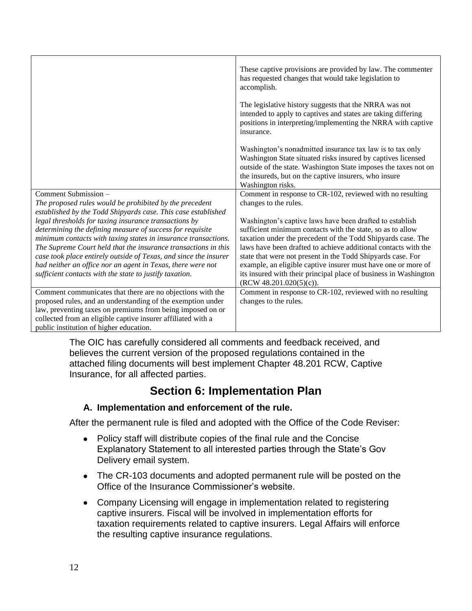|                                                                                                                        | These captive provisions are provided by law. The commenter<br>has requested changes that would take legislation to<br>accomplish.                                                                                                                                         |
|------------------------------------------------------------------------------------------------------------------------|----------------------------------------------------------------------------------------------------------------------------------------------------------------------------------------------------------------------------------------------------------------------------|
|                                                                                                                        | The legislative history suggests that the NRRA was not<br>intended to apply to captives and states are taking differing<br>positions in interpreting/implementing the NRRA with captive<br>insurance.                                                                      |
|                                                                                                                        | Washington's nonadmitted insurance tax law is to tax only<br>Washington State situated risks insured by captives licensed<br>outside of the state. Washington State imposes the taxes not on<br>the insureds, but on the captive insurers, who insure<br>Washington risks. |
| Comment Submission -                                                                                                   | Comment in response to CR-102, reviewed with no resulting                                                                                                                                                                                                                  |
| The proposed rules would be prohibited by the precedent                                                                | changes to the rules.                                                                                                                                                                                                                                                      |
| established by the Todd Shipyards case. This case established<br>legal thresholds for taxing insurance transactions by | Washington's captive laws have been drafted to establish                                                                                                                                                                                                                   |
| determining the defining measure of success for requisite                                                              | sufficient minimum contacts with the state, so as to allow                                                                                                                                                                                                                 |
| minimum contacts with taxing states in insurance transactions.                                                         | taxation under the precedent of the Todd Shipyards case. The                                                                                                                                                                                                               |
| The Supreme Court held that the insurance transactions in this                                                         | laws have been drafted to achieve additional contacts with the                                                                                                                                                                                                             |
| case took place entirely outside of Texas, and since the insurer                                                       | state that were not present in the Todd Shipyards case. For                                                                                                                                                                                                                |
| had neither an office nor an agent in Texas, there were not                                                            | example, an eligible captive insurer must have one or more of                                                                                                                                                                                                              |
| sufficient contacts with the state to justify taxation.                                                                | its insured with their principal place of business in Washington<br>$(RCW 48.201.020(5)(c))$ .                                                                                                                                                                             |
| Comment communicates that there are no objections with the                                                             | Comment in response to CR-102, reviewed with no resulting                                                                                                                                                                                                                  |
| proposed rules, and an understanding of the exemption under                                                            | changes to the rules.                                                                                                                                                                                                                                                      |
| law, preventing taxes on premiums from being imposed on or                                                             |                                                                                                                                                                                                                                                                            |
| collected from an eligible captive insurer affiliated with a                                                           |                                                                                                                                                                                                                                                                            |
| public institution of higher education.                                                                                |                                                                                                                                                                                                                                                                            |

The OIC has carefully considered all comments and feedback received, and believes the current version of the proposed regulations contained in the attached filing documents will best implement Chapter 48.201 RCW, Captive Insurance, for all affected parties.

### **Section 6: Implementation Plan**

#### **A. Implementation and enforcement of the rule.**

After the permanent rule is filed and adopted with the Office of the Code Reviser:

- Policy staff will distribute copies of the final rule and the Concise Explanatory Statement to all interested parties through the State's Gov Delivery email system.
- • The CR-103 documents and adopted permanent rule will be posted on the Office of the Insurance Commissioner's website.
- Company Licensing will engage in implementation related to registering captive insurers. Fiscal will be involved in implementation efforts for taxation requirements related to captive insurers. Legal Affairs will enforce the resulting captive insurance regulations.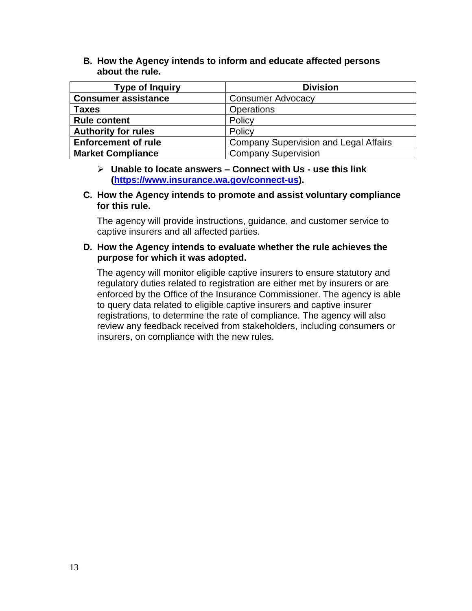**B. How the Agency intends to inform and educate affected persons about the rule.** 

| <b>Type of Inquiry</b>     | <b>Division</b>                              |
|----------------------------|----------------------------------------------|
| <b>Consumer assistance</b> | <b>Consumer Advocacy</b>                     |
| <b>Taxes</b>               | Operations                                   |
| <b>Rule content</b>        | Policy                                       |
| <b>Authority for rules</b> | Policy                                       |
| <b>Enforcement of rule</b> | <b>Company Supervision and Legal Affairs</b> |
| <b>Market Compliance</b>   | <b>Company Supervision</b>                   |

- ➢ **Unable to locate answers – Connect with Us - use this link [\(https://www.insurance.wa.gov/connect-us\)](https://www.insurance.wa.gov/connect-us).**
- **C. How the Agency intends to promote and assist voluntary compliance for this rule.**

The agency will provide instructions, guidance, and customer service to captive insurers and all affected parties.

#### **D. How the Agency intends to evaluate whether the rule achieves the purpose for which it was adopted.**

The agency will monitor eligible captive insurers to ensure statutory and regulatory duties related to registration are either met by insurers or are enforced by the Office of the Insurance Commissioner. The agency is able to query data related to eligible captive insurers and captive insurer registrations, to determine the rate of compliance. The agency will also review any feedback received from stakeholders, including consumers or insurers, on compliance with the new rules.